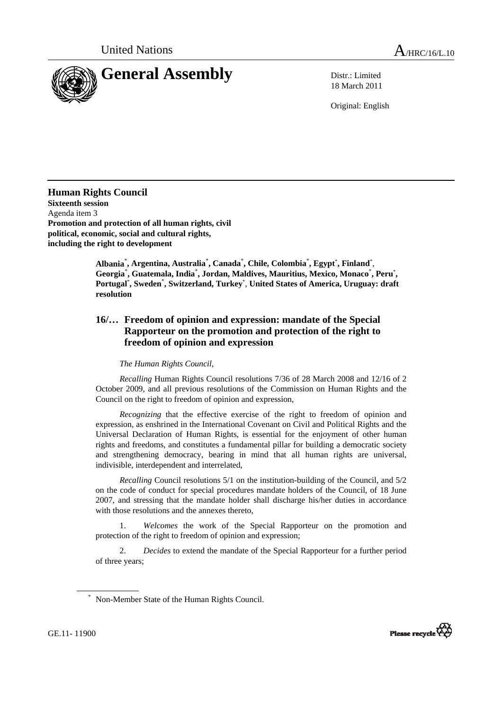

18 March 2011

Original: English

**Human Rights Council Sixteenth session**  Agenda item 3 **Promotion and protection of all human rights, civil political, economic, social and cultural rights, including the right to development** 

 **Albania**\* **, Argentina, Australia**\* **, Canada**\* **, Chile, Colombia**\* **, Egypt**\* **, Finland**\* , **Georgia**\* **, Guatemala, India**\* **, Jordan, Maldives, Mauritius, Mexico, Monaco**\* **, Peru**\* **, Portugal**\* **, Sweden**\* **, Switzerland, Turkey**\* , **United States of America, Uruguay: draft resolution** 

## **16/… Freedom of opinion and expression: mandate of the Special Rapporteur on the promotion and protection of the right to freedom of opinion and expression**

 *The Human Rights Council*,

*Recalling* Human Rights Council resolutions 7/36 of 28 March 2008 and 12/16 of 2 October 2009, and all previous resolutions of the Commission on Human Rights and the Council on the right to freedom of opinion and expression,

*Recognizing* that the effective exercise of the right to freedom of opinion and expression, as enshrined in the International Covenant on Civil and Political Rights and the Universal Declaration of Human Rights, is essential for the enjoyment of other human rights and freedoms, and constitutes a fundamental pillar for building a democratic society and strengthening democracy, bearing in mind that all human rights are universal, indivisible, interdependent and interrelated,

*Recalling* Council resolutions 5/1 on the institution-building of the Council, and 5/2 on the code of conduct for special procedures mandate holders of the Council, of 18 June 2007, and stressing that the mandate holder shall discharge his/her duties in accordance with those resolutions and the annexes thereto,

 1. *Welcomes* the work of the Special Rapporteur on the promotion and protection of the right to freedom of opinion and expression;

 2. *Decides* to extend the mandate of the Special Rapporteur for a further period of three years;



GE.11- 11900

<sup>\*</sup> Non-Member State of the Human Rights Council.